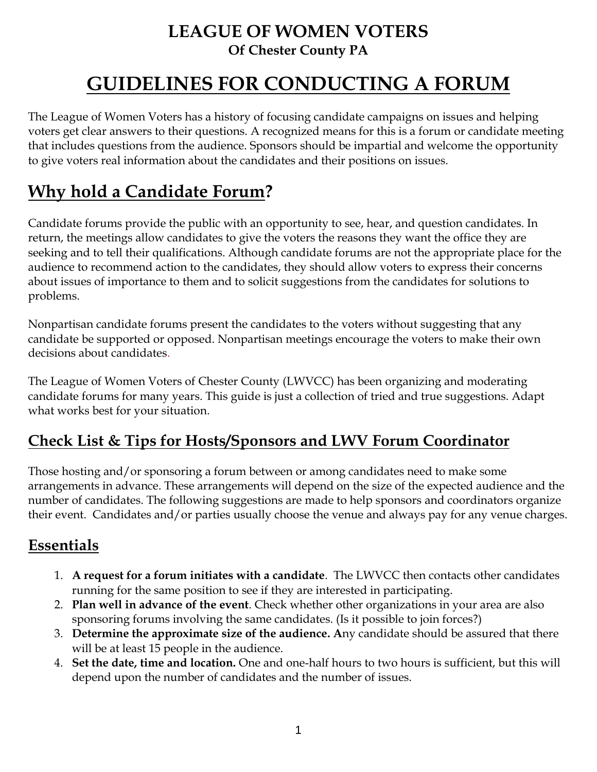### **LEAGUE OF WOMEN VOTERS Of Chester County PA**

# **GUIDELINES FOR CONDUCTING A FORUM**

The League of Women Voters has a history of focusing candidate campaigns on issues and helping voters get clear answers to their questions. A recognized means for this is a forum or candidate meeting that includes questions from the audience. Sponsors should be impartial and welcome the opportunity to give voters real information about the candidates and their positions on issues.

## **Why hold a Candidate Forum?**

Candidate forums provide the public with an opportunity to see, hear, and question candidates. In return, the meetings allow candidates to give the voters the reasons they want the office they are seeking and to tell their qualifications. Although candidate forums are not the appropriate place for the audience to recommend action to the candidates, they should allow voters to express their concerns about issues of importance to them and to solicit suggestions from the candidates for solutions to problems.

Nonpartisan candidate forums present the candidates to the voters without suggesting that any candidate be supported or opposed. Nonpartisan meetings encourage the voters to make their own decisions about candidates.

The League of Women Voters of Chester County (LWVCC) has been organizing and moderating candidate forums for many years. This guide is just a collection of tried and true suggestions. Adapt what works best for your situation.

#### **Check List & Tips for Hosts/Sponsors and LWV Forum Coordinator**

Those hosting and/or sponsoring a forum between or among candidates need to make some arrangements in advance. These arrangements will depend on the size of the expected audience and the number of candidates. The following suggestions are made to help sponsors and coordinators organize their event. Candidates and/or parties usually choose the venue and always pay for any venue charges.

#### **Essentials**

- 1. **A request for a forum initiates with a candidate**. The LWVCC then contacts other candidates running for the same position to see if they are interested in participating.
- 2. **Plan well in advance of the event**. Check whether other organizations in your area are also sponsoring forums involving the same candidates. (Is it possible to join forces?)
- 3. **Determine the approximate size of the audience. A**ny candidate should be assured that there will be at least 15 people in the audience.
- 4. **Set the date, time and location.** One and one-half hours to two hours is sufficient, but this will depend upon the number of candidates and the number of issues.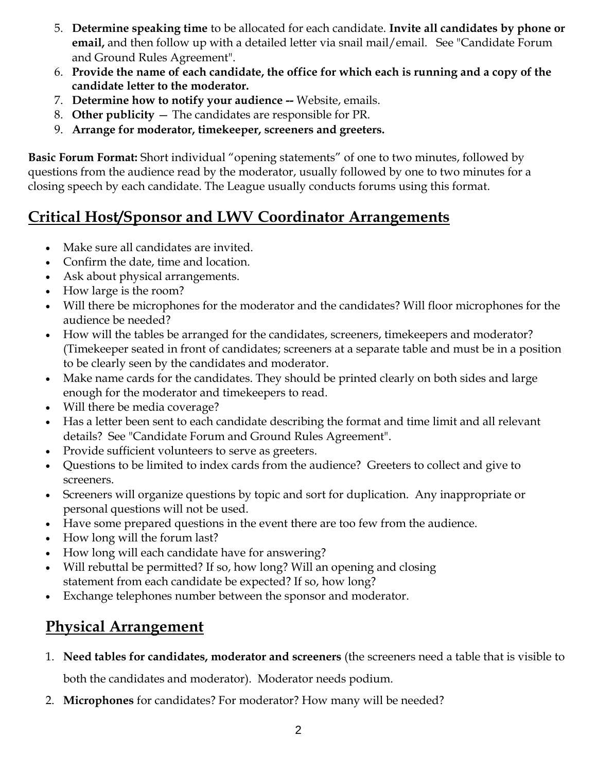- 5. **Determine speaking time** to be allocated for each candidate. **Invite all candidates by phone or email,** and then follow up with a detailed letter via snail mail/email. See "Candidate Forum and Ground Rules Agreement".
- 6. **Provide the name of each candidate, the office for which each is running and a copy of the candidate letter to the moderator.**
- 7. **Determine how to notify your audience --** Website, emails.
- 8. **Other publicity**  The candidates are responsible for PR.
- 9. **Arrange for moderator, timekeeper, screeners and greeters.**

**Basic Forum Format:** Short individual "opening statements" of one to two minutes, followed by questions from the audience read by the moderator, usually followed by one to two minutes for a closing speech by each candidate. The League usually conducts forums using this format.

### **Critical Host/Sponsor and LWV Coordinator Arrangements**

- Make sure all candidates are invited.
- Confirm the date, time and location.
- Ask about physical arrangements.
- How large is the room?
- Will there be microphones for the moderator and the candidates? Will floor microphones for the audience be needed?
- How will the tables be arranged for the candidates, screeners, timekeepers and moderator? (Timekeeper seated in front of candidates; screeners at a separate table and must be in a position to be clearly seen by the candidates and moderator.
- Make name cards for the candidates. They should be printed clearly on both sides and large enough for the moderator and timekeepers to read.
- Will there be media coverage?
- Has a letter been sent to each candidate describing the format and time limit and all relevant details? See "Candidate Forum and Ground Rules Agreement".
- Provide sufficient volunteers to serve as greeters.
- Questions to be limited to index cards from the audience? Greeters to collect and give to screeners.
- Screeners will organize questions by topic and sort for duplication. Any inappropriate or personal questions will not be used.
- Have some prepared questions in the event there are too few from the audience.
- How long will the forum last?
- How long will each candidate have for answering?
- Will rebuttal be permitted? If so, how long? Will an opening and closing statement from each candidate be expected? If so, how long?
- Exchange telephones number between the sponsor and moderator.

#### **Physical Arrangement**

- 1. **Need tables for candidates, moderator and screeners** (the screeners need a table that is visible to both the candidates and moderator). Moderator needs podium.
- 2. **Microphones** for candidates? For moderator? How many will be needed?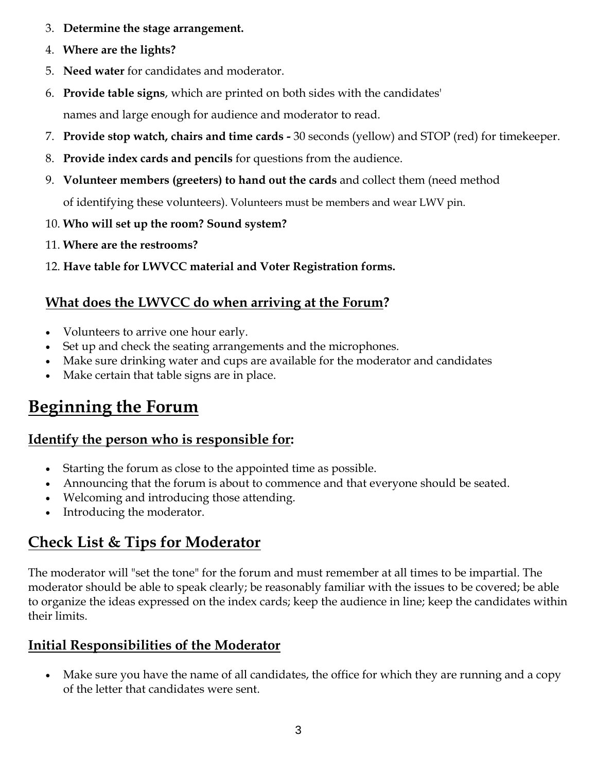- 3. **Determine the stage arrangement.**
- 4. **Where are the lights?**
- 5. **Need water** for candidates and moderator.
- 6. **Provide table signs**, which are printed on both sides with the candidates' names and large enough for audience and moderator to read.
- 7. **Provide stop watch, chairs and time cards -** 30 seconds (yellow) and STOP (red) for timekeeper.
- 8. **Provide index cards and pencils** for questions from the audience.
- 9. **Volunteer members (greeters) to hand out the cards** and collect them (need method

of identifying these volunteers). Volunteers must be members and wear LWV pin.

- 10. **Who will set up the room? Sound system?**
- 11. **Where are the restrooms?**
- 12. **Have table for LWVCC material and Voter Registration forms.**

#### **What does the LWVCC do when arriving at the Forum?**

- Volunteers to arrive one hour early.
- Set up and check the seating arrangements and the microphones.
- Make sure drinking water and cups are available for the moderator and candidates
- Make certain that table signs are in place.

# **Beginning the Forum**

#### **Identify the person who is responsible for:**

- Starting the forum as close to the appointed time as possible.
- Announcing that the forum is about to commence and that everyone should be seated.
- Welcoming and introducing those attending.
- Introducing the moderator.

## **Check List & Tips for Moderator**

The moderator will "set the tone" for the forum and must remember at all times to be impartial. The moderator should be able to speak clearly; be reasonably familiar with the issues to be covered; be able to organize the ideas expressed on the index cards; keep the audience in line; keep the candidates within their limits.

#### **Initial Responsibilities of the Moderator**

 Make sure you have the name of all candidates, the office for which they are running and a copy of the letter that candidates were sent.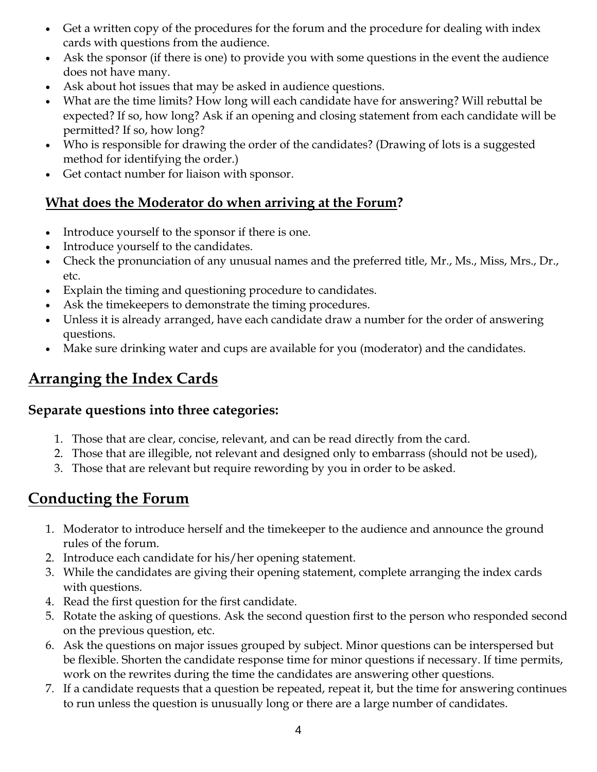- Get a written copy of the procedures for the forum and the procedure for dealing with index cards with questions from the audience.
- Ask the sponsor (if there is one) to provide you with some questions in the event the audience does not have many.
- Ask about hot issues that may be asked in audience questions.
- What are the time limits? How long will each candidate have for answering? Will rebuttal be expected? If so, how long? Ask if an opening and closing statement from each candidate will be permitted? If so, how long?
- Who is responsible for drawing the order of the candidates? (Drawing of lots is a suggested method for identifying the order.)
- Get contact number for liaison with sponsor.

#### **What does the Moderator do when arriving at the Forum?**

- Introduce yourself to the sponsor if there is one.
- Introduce yourself to the candidates.
- Check the pronunciation of any unusual names and the preferred title, Mr., Ms., Miss, Mrs., Dr., etc.
- Explain the timing and questioning procedure to candidates.
- Ask the timekeepers to demonstrate the timing procedures.
- Unless it is already arranged, have each candidate draw a number for the order of answering questions.
- Make sure drinking water and cups are available for you (moderator) and the candidates.

#### **Arranging the Index Cards**

#### **Separate questions into three categories:**

- 1. Those that are clear, concise, relevant, and can be read directly from the card.
- 2. Those that are illegible, not relevant and designed only to embarrass (should not be used),
- 3. Those that are relevant but require rewording by you in order to be asked.

#### **Conducting the Forum**

- 1. Moderator to introduce herself and the timekeeper to the audience and announce the ground rules of the forum.
- 2. Introduce each candidate for his/her opening statement.
- 3. While the candidates are giving their opening statement, complete arranging the index cards with questions.
- 4. Read the first question for the first candidate.
- 5. Rotate the asking of questions. Ask the second question first to the person who responded second on the previous question, etc.
- 6. Ask the questions on major issues grouped by subject. Minor questions can be interspersed but be flexible. Shorten the candidate response time for minor questions if necessary. If time permits, work on the rewrites during the time the candidates are answering other questions.
- 7. If a candidate requests that a question be repeated, repeat it, but the time for answering continues to run unless the question is unusually long or there are a large number of candidates.